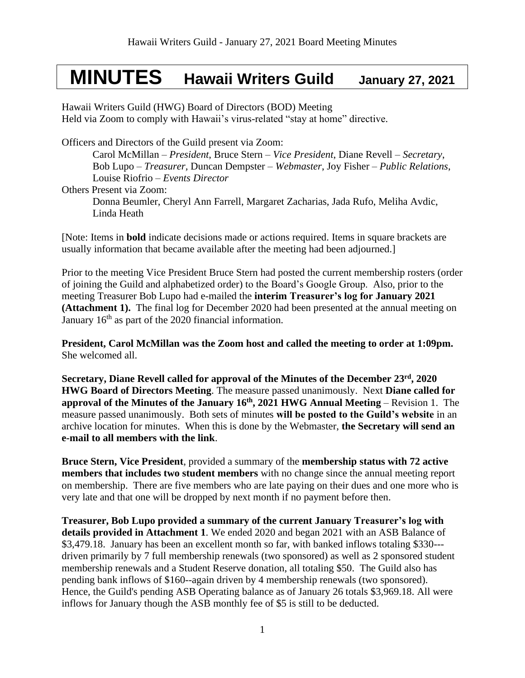# **MINUTES Hawaii Writers Guild January 27, 2021**

Hawaii Writers Guild (HWG) Board of Directors (BOD) Meeting Held via Zoom to comply with Hawaii's virus-related "stay at home" directive.

Officers and Directors of the Guild present via Zoom:

Carol McMillan – *President*, Bruce Stern – *Vice President*, Diane Revell – *Secretary*, Bob Lupo – *Treasurer,* Duncan Dempster – *Webmaster*, Joy Fisher – *Public Relations*, Louise Riofrio – *Events Director* Others Present via Zoom: Donna Beumler, Cheryl Ann Farrell, Margaret Zacharias, Jada Rufo, Meliha Avdic, Linda Heath

[Note: Items in **bold** indicate decisions made or actions required. Items in square brackets are usually information that became available after the meeting had been adjourned.]

Prior to the meeting Vice President Bruce Stern had posted the current membership rosters (order of joining the Guild and alphabetized order) to the Board's Google Group. Also, prior to the meeting Treasurer Bob Lupo had e-mailed the **interim Treasurer's log for January 2021 (Attachment 1).** The final log for December 2020 had been presented at the annual meeting on January 16<sup>th</sup> as part of the 2020 financial information.

**President, Carol McMillan was the Zoom host and called the meeting to order at 1:09pm.** She welcomed all.

**Secretary, Diane Revell called for approval of the Minutes of the December 23 rd, 2020 HWG Board of Directors Meeting**. The measure passed unanimously. Next **Diane called for approval of the Minutes of the January 16th, 2021 HWG Annual Meeting** – Revision 1. The measure passed unanimously. Both sets of minutes **will be posted to the Guild's website** in an archive location for minutes. When this is done by the Webmaster, **the Secretary will send an e-mail to all members with the link**.

**Bruce Stern, Vice President**, provided a summary of the **membership status with 72 active members that includes two student members** with no change since the annual meeting report on membership. There are five members who are late paying on their dues and one more who is very late and that one will be dropped by next month if no payment before then.

**Treasurer, Bob Lupo provided a summary of the current January Treasurer's log with details provided in Attachment 1**. We ended 2020 and began 2021 with an ASB Balance of \$3,479.18. January has been an excellent month so far, with banked inflows totaling \$330--driven primarily by 7 full membership renewals (two sponsored) as well as 2 sponsored student membership renewals and a Student Reserve donation, all totaling \$50. The Guild also has pending bank inflows of \$160--again driven by 4 membership renewals (two sponsored). Hence, the Guild's pending ASB Operating balance as of January 26 totals \$3,969.18. All were inflows for January though the ASB monthly fee of \$5 is still to be deducted.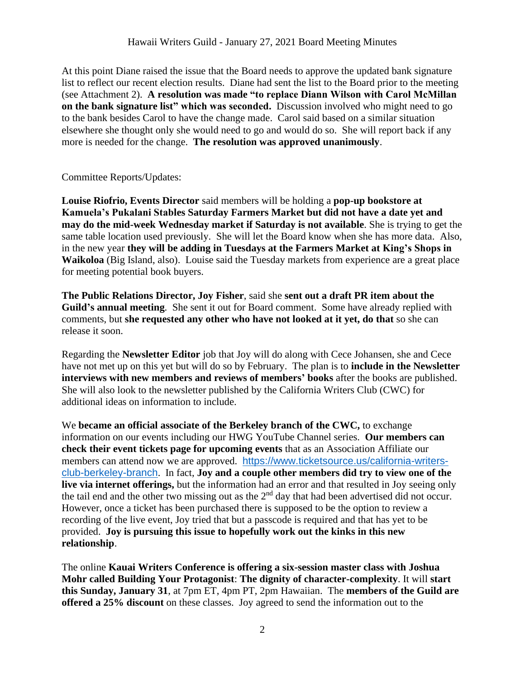At this point Diane raised the issue that the Board needs to approve the updated bank signature list to reflect our recent election results. Diane had sent the list to the Board prior to the meeting (see Attachment 2). **A resolution was made "to replace Diann Wilson with Carol McMillan on the bank signature list" which was seconded.** Discussion involved who might need to go to the bank besides Carol to have the change made. Carol said based on a similar situation elsewhere she thought only she would need to go and would do so. She will report back if any more is needed for the change. **The resolution was approved unanimously**.

# Committee Reports/Updates:

**Louise Riofrio, Events Director** said members will be holding a **pop-up bookstore at Kamuela's Pukalani Stables Saturday Farmers Market but did not have a date yet and may do the mid-week Wednesday market if Saturday is not available**. She is trying to get the same table location used previously. She will let the Board know when she has more data. Also, in the new year **they will be adding in Tuesdays at the Farmers Market at King's Shops in Waikoloa** (Big Island, also). Louise said the Tuesday markets from experience are a great place for meeting potential book buyers.

**The Public Relations Director, Joy Fisher**, said she **sent out a draft PR item about the Guild's annual meeting**. She sent it out for Board comment. Some have already replied with comments, but **she requested any other who have not looked at it yet, do that** so she can release it soon.

Regarding the **Newsletter Editor** job that Joy will do along with Cece Johansen, she and Cece have not met up on this yet but will do so by February. The plan is to **include in the Newsletter interviews with new members and reviews of members' books** after the books are published. She will also look to the newsletter published by the California Writers Club (CWC) for additional ideas on information to include.

We **became an official associate of the Berkeley branch of the CWC,** to exchange information on our events including our HWG YouTube Channel series. **Our members can check their event tickets page for upcoming events** that as an Association Affiliate our members can attend now we are approved. [https://www.ticketsource.us/california-writers](https://www.ticketsource.us/california-writers-club-berkeley-branch)[club-berkeley-branch](https://www.ticketsource.us/california-writers-club-berkeley-branch). In fact, **Joy and a couple other members did try to view one of the live via internet offerings,** but the information had an error and that resulted in Joy seeing only the tail end and the other two missing out as the 2<sup>nd</sup> day that had been advertised did not occur. However, once a ticket has been purchased there is supposed to be the option to review a recording of the live event, Joy tried that but a passcode is required and that has yet to be provided. **Joy is pursuing this issue to hopefully work out the kinks in this new relationship**.

The online **Kauai Writers Conference is offering a six-session master class with Joshua Mohr called Building Your Protagonist**: **The dignity of character-complexity**. It will **start this Sunday, January 31**, at 7pm ET, 4pm PT, 2pm Hawaiian. The **members of the Guild are offered a 25% discount** on these classes. Joy agreed to send the information out to the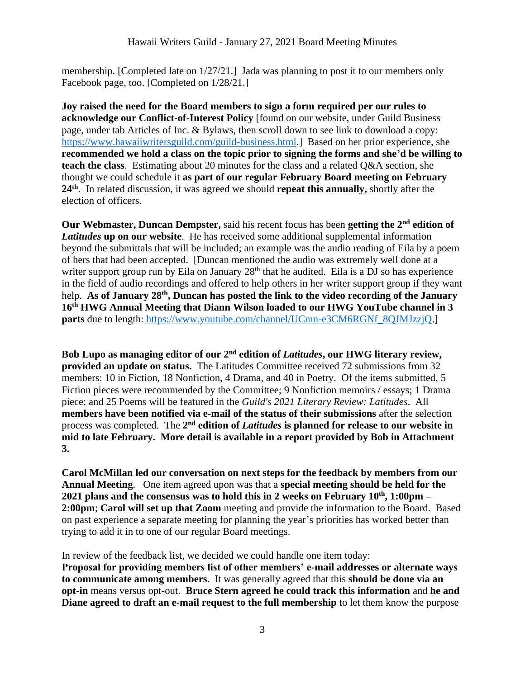membership. [Completed late on 1/27/21.] Jada was planning to post it to our members only Facebook page, too. [Completed on 1/28/21.]

**Joy raised the need for the Board members to sign a form required per our rules to acknowledge our Conflict-of-Interest Policy** [found on our website, under Guild Business page, under tab Articles of Inc. & Bylaws, then scroll down to see link to download a copy: [https://www.hawaiiwritersguild.com/guild-business.html.](https://www.hawaiiwritersguild.com/guild-business.html)] Based on her prior experience, she **recommended we hold a class on the topic prior to signing the forms and she'd be willing to teach the class**. Estimating about 20 minutes for the class and a related Q&A section, she thought we could schedule it **as part of our regular February Board meeting on February 24th** . In related discussion, it was agreed we should **repeat this annually,** shortly after the election of officers.

**Our Webmaster, Duncan Dempster,** said his recent focus has been getting the 2<sup>nd</sup> edition of *Latitudes* **up on our website**. He has received some additional supplemental information beyond the submittals that will be included; an example was the audio reading of Eila by a poem of hers that had been accepted. [Duncan mentioned the audio was extremely well done at a writer support group run by Eila on January  $28<sup>th</sup>$  that he audited. Eila is a DJ so has experience in the field of audio recordings and offered to help others in her writer support group if they want help. **As of January 28th, Duncan has posted the link to the video recording of the January 16th HWG Annual Meeting that Diann Wilson loaded to our HWG YouTube channel in 3 parts** due to length: https://www.youtube.com/channel/UCmn-e3CM6RGNf 8QJMJzzjQ.]

**Bob Lupo as managing editor of our 2nd edition of** *Latitudes***, our HWG literary review, provided an update on status.** The Latitudes Committee received 72 submissions from 32 members: 10 in Fiction, 18 Nonfiction, 4 Drama, and 40 in Poetry. Of the items submitted, 5 Fiction pieces were recommended by the Committee; 9 Nonfiction memoirs / essays; 1 Drama piece; and 25 Poems will be featured in the *Guild's 2021 Literary Review: Latitudes*. All **members have been notified via e-mail of the status of their submissions** after the selection process was completed. The 2<sup>nd</sup> edition of *Latitudes* is planned for release to our website in **mid to late February. More detail is available in a report provided by Bob in Attachment 3.**

**Carol McMillan led our conversation on next steps for the feedback by members from our Annual Meeting**. One item agreed upon was that a **special meeting should be held for the 2021 plans and the consensus was to hold this in 2 weeks on February 10th, 1:00pm – 2:00pm**; **Carol will set up that Zoom** meeting and provide the information to the Board. Based on past experience a separate meeting for planning the year's priorities has worked better than trying to add it in to one of our regular Board meetings.

In review of the feedback list, we decided we could handle one item today: **Proposal for providing members list of other members' e-mail addresses or alternate ways to communicate among members**. It was generally agreed that this **should be done via an opt-in** means versus opt-out. **Bruce Stern agreed he could track this information** and **he and Diane agreed to draft an e-mail request to the full membership** to let them know the purpose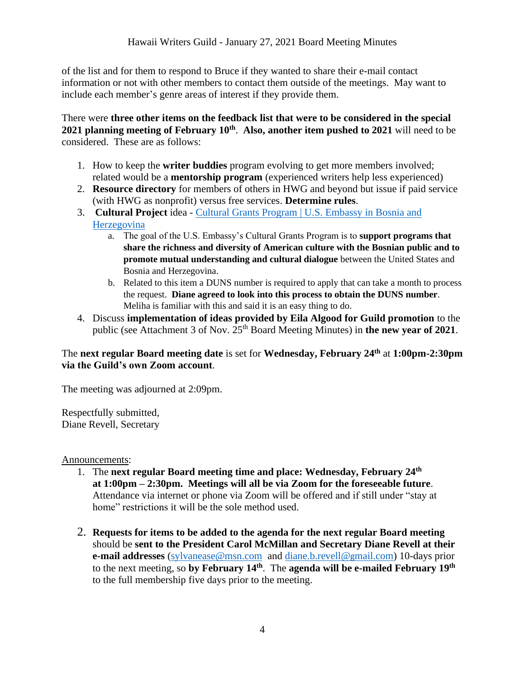of the list and for them to respond to Bruce if they wanted to share their e-mail contact information or not with other members to contact them outside of the meetings. May want to include each member's genre areas of interest if they provide them.

There were **three other items on the feedback list that were to be considered in the special 2021 planning meeting of February 10th** . **Also, another item pushed to 2021** will need to be considered. These are as follows:

- 1. How to keep the **writer buddies** program evolving to get more members involved; related would be a **mentorship program** (experienced writers help less experienced)
- 2. **Resource directory** for members of others in HWG and beyond but issue if paid service (with HWG as nonprofit) versus free services. **Determine rules**.
- 3. **Cultural Project** idea [Cultural Grants Program | U.S. Embassy in Bosnia and](https://ba.usembassy.gov/education-culture/grant-opportunities/cultural-grants-program/)  [Herzegovina](https://ba.usembassy.gov/education-culture/grant-opportunities/cultural-grants-program/)
	- a. The goal of the U.S. Embassy's Cultural Grants Program is to **support programs that share the richness and diversity of American culture with the Bosnian public and to promote mutual understanding and cultural dialogue** between the United States and Bosnia and Herzegovina.
	- b. Related to this item a DUNS number is required to apply that can take a month to process the request. **Diane agreed to look into this process to obtain the DUNS number**. Meliha is familiar with this and said it is an easy thing to do.
- 4. Discuss **implementation of ideas provided by Eila Algood for Guild promotion** to the public (see Attachment 3 of Nov. 25<sup>th</sup> Board Meeting Minutes) in **the new year of 2021**.

# The **next regular Board meeting date** is set for **Wednesday, February 24 th** at **1:00pm-2:30pm via the Guild's own Zoom account**.

The meeting was adjourned at 2:09pm.

Respectfully submitted, Diane Revell, Secretary

Announcements:

- 1. The next regular Board meeting time and place: Wednesday, February 24<sup>th</sup> **at 1:00pm – 2:30pm. Meetings will all be via Zoom for the foreseeable future**. Attendance via internet or phone via Zoom will be offered and if still under "stay at home" restrictions it will be the sole method used.
- 2. **Requests for items to be added to the agenda for the next regular Board meeting** should be **sent to the President Carol McMillan and Secretary Diane Revell at their e-mail addresses** [\(sylvanease@msn.com](mailto:sylvanease@msn.com) and [diane.b.revell@](mailto:diane.b.revell@gmail.com)gmail.com) 10-days prior to the next meeting, so by February 14<sup>th</sup>. The agenda will be e-mailed February 19<sup>th</sup> to the full membership five days prior to the meeting.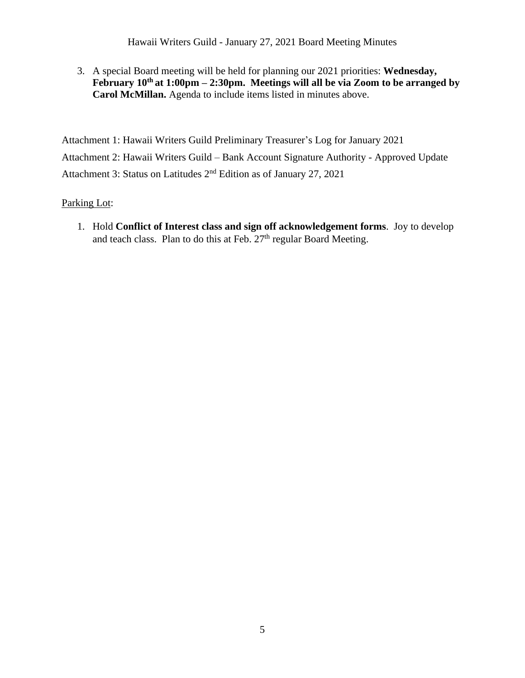Hawaii Writers Guild - January 27, 2021 Board Meeting Minutes

3. A special Board meeting will be held for planning our 2021 priorities: **Wednesday, February 10th at 1:00pm – 2:30pm. Meetings will all be via Zoom to be arranged by Carol McMillan.** Agenda to include items listed in minutes above.

Attachment 1: Hawaii Writers Guild Preliminary Treasurer's Log for January 2021 Attachment 2: Hawaii Writers Guild – Bank Account Signature Authority - Approved Update Attachment 3: Status on Latitudes 2nd Edition as of January 27, 2021

Parking Lot:

1. Hold **Conflict of Interest class and sign off acknowledgement forms**. Joy to develop and teach class. Plan to do this at Feb.  $27<sup>th</sup>$  regular Board Meeting.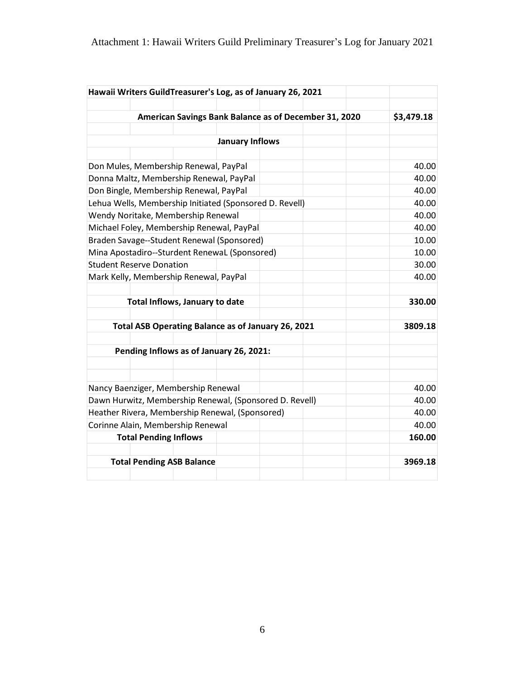| Hawaii Writers GuildTreasurer's Log, as of January 26, 2021 |  |  |            |
|-------------------------------------------------------------|--|--|------------|
| American Savings Bank Balance as of December 31, 2020       |  |  | \$3,479.18 |
|                                                             |  |  |            |
| <b>January Inflows</b>                                      |  |  |            |
|                                                             |  |  |            |
| Don Mules, Membership Renewal, PayPal                       |  |  | 40.00      |
| Donna Maltz, Membership Renewal, PayPal                     |  |  | 40.00      |
| Don Bingle, Membership Renewal, PayPal                      |  |  | 40.00      |
| Lehua Wells, Membership Initiated (Sponsored D. Revell)     |  |  | 40.00      |
| Wendy Noritake, Membership Renewal                          |  |  | 40.00      |
| Michael Foley, Membership Renewal, PayPal                   |  |  | 40.00      |
| Braden Savage--Student Renewal (Sponsored)                  |  |  | 10.00      |
| Mina Apostadiro--Sturdent RenewaL (Sponsored)               |  |  | 10.00      |
| <b>Student Reserve Donation</b>                             |  |  | 30.00      |
| Mark Kelly, Membership Renewal, PayPal                      |  |  | 40.00      |
|                                                             |  |  |            |
| Total Inflows, January to date                              |  |  | 330.00     |
|                                                             |  |  |            |
| Total ASB Operating Balance as of January 26, 2021          |  |  | 3809.18    |
| Pending Inflows as of January 26, 2021:                     |  |  |            |
|                                                             |  |  |            |
|                                                             |  |  |            |
| Nancy Baenziger, Membership Renewal                         |  |  | 40.00      |
| Dawn Hurwitz, Membership Renewal, (Sponsored D. Revell)     |  |  | 40.00      |
| Heather Rivera, Membership Renewal, (Sponsored)             |  |  | 40.00      |
| Corinne Alain, Membership Renewal                           |  |  | 40.00      |
| <b>Total Pending Inflows</b>                                |  |  | 160.00     |
| <b>Total Pending ASB Balance</b>                            |  |  | 3969.18    |
|                                                             |  |  |            |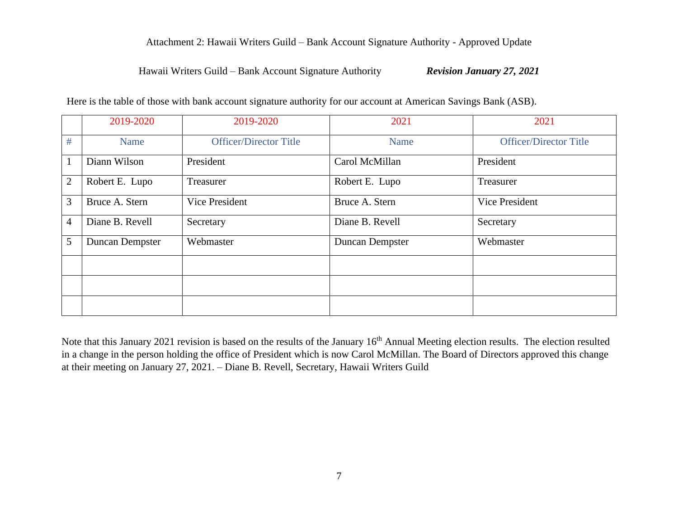### Attachment 2: Hawaii Writers Guild – Bank Account Signature Authority - Approved Update

#### Hawaii Writers Guild – Bank Account Signature Authority *Revision January 27, 2021*

|                | 2019-2020              | 2019-2020                     | 2021            | 2021                          |
|----------------|------------------------|-------------------------------|-----------------|-------------------------------|
| #              | Name                   | <b>Officer/Director Title</b> | Name            | <b>Officer/Director Title</b> |
| $\mathbf{1}$   | Diann Wilson           | President                     | Carol McMillan  | President                     |
| $\overline{2}$ | Robert E. Lupo         | Treasurer                     | Robert E. Lupo  | Treasurer                     |
| 3              | Bruce A. Stern         | Vice President                | Bruce A. Stern  | Vice President                |
| $\overline{4}$ | Diane B. Revell        | Secretary                     | Diane B. Revell | Secretary                     |
| 5              | <b>Duncan Dempster</b> | Webmaster                     | Duncan Dempster | Webmaster                     |
|                |                        |                               |                 |                               |
|                |                        |                               |                 |                               |
|                |                        |                               |                 |                               |

Here is the table of those with bank account signature authority for our account at American Savings Bank (ASB).

Note that this January 2021 revision is based on the results of the January 16<sup>th</sup> Annual Meeting election results. The election resulted in a change in the person holding the office of President which is now Carol McMillan. The Board of Directors approved this change at their meeting on January 27, 2021. – Diane B. Revell, Secretary, Hawaii Writers Guild